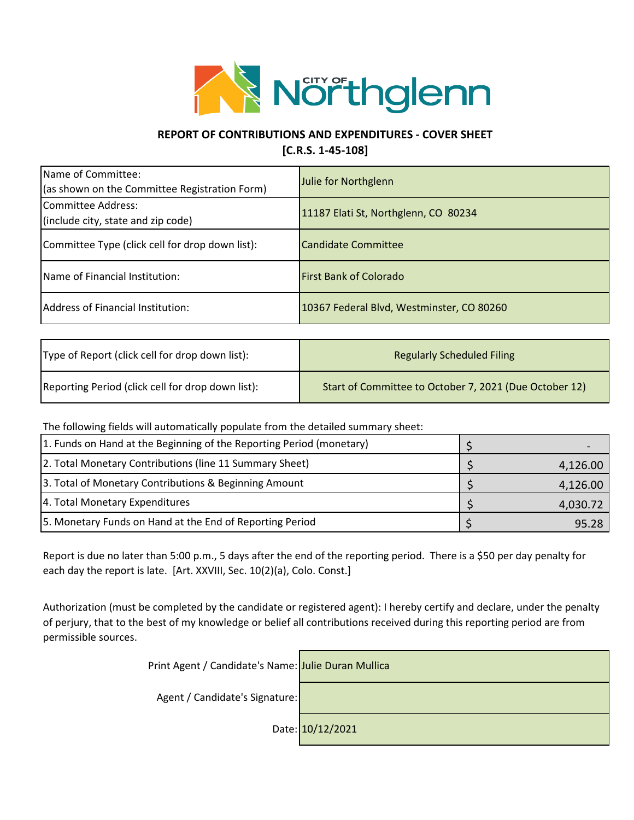

## **REPORT OF CONTRIBUTIONS AND EXPENDITURES - COVER SHEET**

**[C.R.S. 1-45-108]**

| Name of Committee:<br>(as shown on the Committee Registration Form) | Julie for Northglenn                      |
|---------------------------------------------------------------------|-------------------------------------------|
| Committee Address:<br>(include city, state and zip code)            | 11187 Elati St, Northglenn, CO 80234      |
| Committee Type (click cell for drop down list):                     | Candidate Committee                       |
| Name of Financial Institution:                                      | <b>First Bank of Colorado</b>             |
| Address of Financial Institution:                                   | 10367 Federal Blvd, Westminster, CO 80260 |

| Type of Report (click cell for drop down list):   | <b>Regularly Scheduled Filing</b>                      |
|---------------------------------------------------|--------------------------------------------------------|
| Reporting Period (click cell for drop down list): | Start of Committee to October 7, 2021 (Due October 12) |

The following fields will automatically populate from the detailed summary sheet:

| 1. Funds on Hand at the Beginning of the Reporting Period (monetary) |          |
|----------------------------------------------------------------------|----------|
| 2. Total Monetary Contributions (line 11 Summary Sheet)              | 4,126.00 |
| 3. Total of Monetary Contributions & Beginning Amount                | 4,126.00 |
| 4. Total Monetary Expenditures                                       | 4,030.72 |
| 5. Monetary Funds on Hand at the End of Reporting Period             | 95.28    |

Report is due no later than 5:00 p.m., 5 days after the end of the reporting period. There is a \$50 per day penalty for each day the report is late. [Art. XXVIII, Sec. 10(2)(a), Colo. Const.]

Authorization (must be completed by the candidate or registered agent): I hereby certify and declare, under the penalty of perjury, that to the best of my knowledge or belief all contributions received during this reporting period are from permissible sources.

| Print Agent / Candidate's Name: Julie Duran Mullica |                  |
|-----------------------------------------------------|------------------|
| Agent / Candidate's Signature:                      |                  |
|                                                     | Date: 10/12/2021 |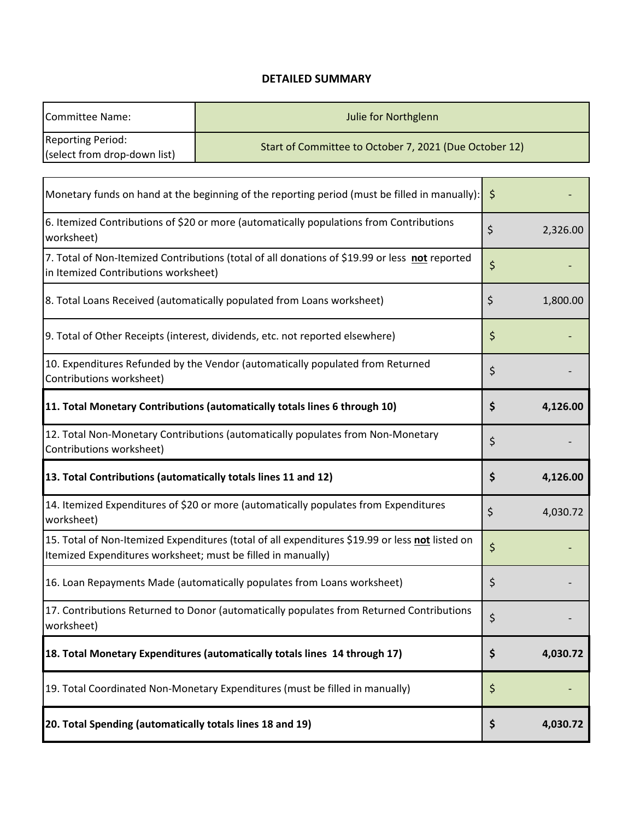## **DETAILED SUMMARY**

| <b>Committee Name:</b>                                                                                                                                          | Julie for Northglenn                                                                           |                                                        |          |  |  |  |
|-----------------------------------------------------------------------------------------------------------------------------------------------------------------|------------------------------------------------------------------------------------------------|--------------------------------------------------------|----------|--|--|--|
| <b>Reporting Period:</b><br>(select from drop-down list)                                                                                                        |                                                                                                | Start of Committee to October 7, 2021 (Due October 12) |          |  |  |  |
|                                                                                                                                                                 | Monetary funds on hand at the beginning of the reporting period (must be filled in manually):  | \$                                                     |          |  |  |  |
| 6. Itemized Contributions of \$20 or more (automatically populations from Contributions<br>worksheet)                                                           | \$                                                                                             | 2,326.00                                               |          |  |  |  |
| in Itemized Contributions worksheet)                                                                                                                            | 7. Total of Non-Itemized Contributions (total of all donations of \$19.99 or less not reported | \$                                                     |          |  |  |  |
|                                                                                                                                                                 | 8. Total Loans Received (automatically populated from Loans worksheet)                         | \$                                                     | 1,800.00 |  |  |  |
|                                                                                                                                                                 | 9. Total of Other Receipts (interest, dividends, etc. not reported elsewhere)                  | \$                                                     |          |  |  |  |
| 10. Expenditures Refunded by the Vendor (automatically populated from Returned<br>Contributions worksheet)                                                      | \$                                                                                             |                                                        |          |  |  |  |
| 11. Total Monetary Contributions (automatically totals lines 6 through 10)                                                                                      | \$                                                                                             | 4,126.00                                               |          |  |  |  |
| 12. Total Non-Monetary Contributions (automatically populates from Non-Monetary<br>Contributions worksheet)                                                     | \$                                                                                             |                                                        |          |  |  |  |
| 13. Total Contributions (automatically totals lines 11 and 12)                                                                                                  | \$                                                                                             | 4,126.00                                               |          |  |  |  |
| 14. Itemized Expenditures of \$20 or more (automatically populates from Expenditures<br>worksheet)                                                              |                                                                                                |                                                        | 4,030.72 |  |  |  |
| 15. Total of Non-Itemized Expenditures (total of all expenditures \$19.99 or less not listed on<br>Itemized Expenditures worksheet; must be filled in manually) | \$                                                                                             |                                                        |          |  |  |  |
| 16. Loan Repayments Made (automatically populates from Loans worksheet)                                                                                         | \$                                                                                             |                                                        |          |  |  |  |
| 17. Contributions Returned to Donor (automatically populates from Returned Contributions<br>worksheet)                                                          |                                                                                                |                                                        |          |  |  |  |
| 18. Total Monetary Expenditures (automatically totals lines 14 through 17)                                                                                      |                                                                                                |                                                        | 4,030.72 |  |  |  |
| 19. Total Coordinated Non-Monetary Expenditures (must be filled in manually)                                                                                    | \$                                                                                             |                                                        |          |  |  |  |
| 20. Total Spending (automatically totals lines 18 and 19)                                                                                                       |                                                                                                |                                                        | 4,030.72 |  |  |  |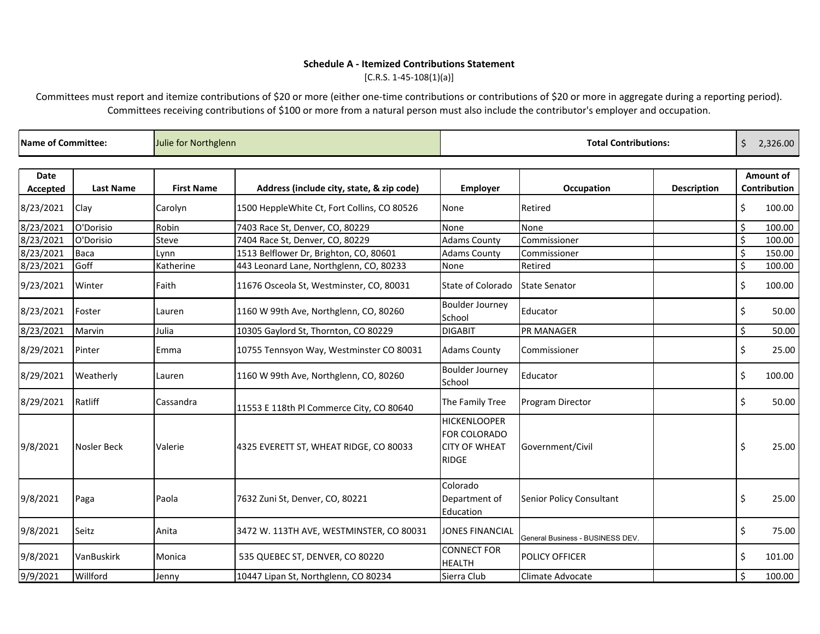# **Schedule A - Itemized Contributions Statement**

 $[C.R.S. 1-45-108(1)(a)]$ 

Committees must report and itemize contributions of \$20 or more (either one-time contributions or contributions of \$20 or more in aggregate during a reporting period). Committees receiving contributions of \$100 or more from a natural person must also include the contributor's employer and occupation.

| Name of Committee:      |                    | Julie for Northglenn |                                             | <b>Total Contributions:</b>                                                 |                                  | \$                 | 2,326.00     |                           |
|-------------------------|--------------------|----------------------|---------------------------------------------|-----------------------------------------------------------------------------|----------------------------------|--------------------|--------------|---------------------------|
| <b>Date</b><br>Accepted | <b>Last Name</b>   | <b>First Name</b>    | Address (include city, state, & zip code)   | <b>Employer</b>                                                             | <b>Occupation</b>                | <b>Description</b> |              | Amount of<br>Contribution |
| 8/23/2021               | Clay               | Carolyn              | 1500 HeppleWhite Ct, Fort Collins, CO 80526 | None                                                                        | Retired                          |                    | \$           | 100.00                    |
| 8/23/2021               | O'Dorisio          | Robin                | 7403 Race St, Denver, CO, 80229             | None                                                                        | None                             |                    | \$           | 100.00                    |
| 8/23/2021               | O'Dorisio          | <b>Steve</b>         | 7404 Race St, Denver, CO, 80229             | <b>Adams County</b>                                                         | Commissioner                     |                    | \$           | 100.00                    |
| 8/23/2021               | Baca               | Lynn                 | 1513 Belflower Dr, Brighton, CO, 80601      | <b>Adams County</b>                                                         | Commissioner                     |                    | \$           | 150.00                    |
| 8/23/2021               | Goff               | Katherine            | 443 Leonard Lane, Northglenn, CO, 80233     | None                                                                        | Retired                          |                    | \$           | 100.00                    |
| 9/23/2021               | Winter             | Faith                | 11676 Osceola St, Westminster, CO, 80031    | State of Colorado                                                           | <b>State Senator</b>             |                    | \$           | 100.00                    |
| 8/23/2021               | Foster             | Lauren               | 1160 W 99th Ave, Northglenn, CO, 80260      | <b>Boulder Journey</b><br>School                                            | Educator                         |                    | \$           | 50.00                     |
| 8/23/2021               | Marvin             | Julia                | 10305 Gaylord St, Thornton, CO 80229        | <b>DIGABIT</b>                                                              | <b>PR MANAGER</b>                |                    | \$           | 50.00                     |
| 8/29/2021               | Pinter             | Emma                 | 10755 Tennsyon Way, Westminster CO 80031    | <b>Adams County</b>                                                         | Commissioner                     |                    | \$           | 25.00                     |
| 8/29/2021               | Weatherly          | Lauren               | 1160 W 99th Ave, Northglenn, CO, 80260      | <b>Boulder Journey</b><br>School                                            | Educator                         |                    | \$           | 100.00                    |
| 8/29/2021               | Ratliff            | Cassandra            | 11553 E 118th Pl Commerce City, CO 80640    | The Family Tree                                                             | Program Director                 |                    | \$           | 50.00                     |
| 9/8/2021                | <b>Nosler Beck</b> | Valerie              | 4325 EVERETT ST, WHEAT RIDGE, CO 80033      | <b>HICKENLOOPER</b><br>FOR COLORADO<br><b>CITY OF WHEAT</b><br><b>RIDGE</b> | Government/Civil                 |                    | \$.          | 25.00                     |
| 9/8/2021                | Paga               | Paola                | 7632 Zuni St, Denver, CO, 80221             | Colorado<br>Department of<br>Education                                      | Senior Policy Consultant         |                    | \$           | 25.00                     |
| 9/8/2021                | Seitz              | Anita                | 3472 W. 113TH AVE, WESTMINSTER, CO 80031    | <b>JONES FINANCIAL</b>                                                      | General Business - BUSINESS DEV. |                    | \$           | 75.00                     |
| 9/8/2021                | VanBuskirk         | Monica               | 535 QUEBEC ST, DENVER, CO 80220             | <b>CONNECT FOR</b><br><b>HEALTH</b>                                         | <b>POLICY OFFICER</b>            |                    | \$           | 101.00                    |
| 9/9/2021                | Willford           | Jenny                | 10447 Lipan St, Northglenn, CO 80234        | Sierra Club                                                                 | Climate Advocate                 |                    | $\mathsf{S}$ | 100.00                    |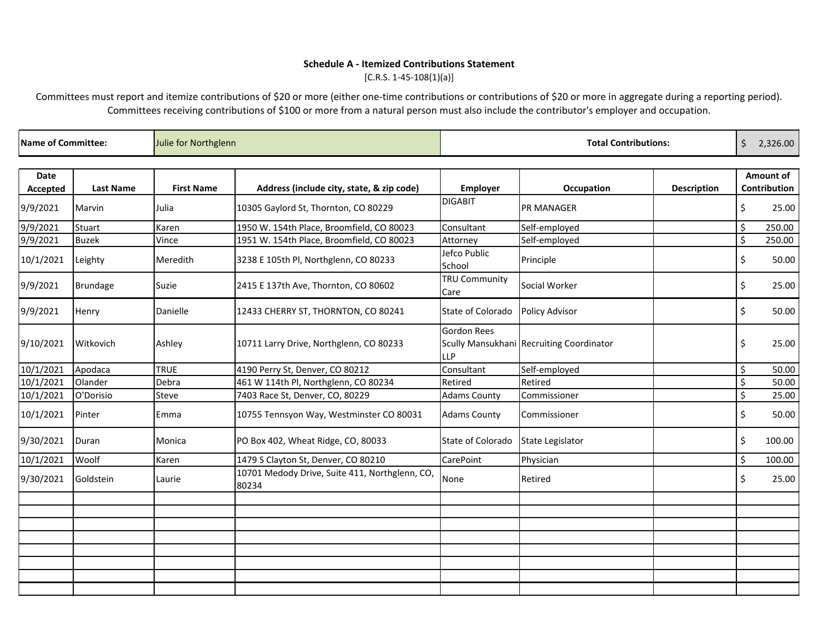# **Schedule A - Itemized Contributions Statement**

 $[C.R.S. 1-45-108(1)(a)]$ 

Committees must report and itemize contributions of \$20 or more (either one-time contributions or contributions of \$20 or more in aggregate during a reporting period). Committees receiving contributions of \$100 or more from a natural person must also include the contributor's employer and occupation.

| Name of Committee: |                  | Julie for Northglenn |                                                         | <b>Total Contributions:</b>      |                                          |                    |    |                                  |
|--------------------|------------------|----------------------|---------------------------------------------------------|----------------------------------|------------------------------------------|--------------------|----|----------------------------------|
| Date<br>Accepted   | <b>Last Name</b> | <b>First Name</b>    | Address (include city, state, & zip code)               | <b>Employer</b>                  | <b>Occupation</b>                        | <b>Description</b> |    | <b>Amount of</b><br>Contribution |
| 9/9/2021           | Marvin           | Julia                | 10305 Gaylord St, Thornton, CO 80229                    | <b>DIGABIT</b>                   | <b>PR MANAGER</b>                        |                    | \$ | 25.00                            |
| 9/9/2021           | Stuart           | Karen                | 1950 W. 154th Place, Broomfield, CO 80023               | Consultant                       | Self-employed                            |                    | \$ | 250.00                           |
| 9/9/2021           | <b>Buzek</b>     | Vince                | 1951 W. 154th Place, Broomfield, CO 80023               | Attorney                         | Self-employed                            |                    | \$ | 250.00                           |
| 10/1/2021          | Leighty          | Meredith             | 3238 E 105th Pl, Northglenn, CO 80233                   | Jefco Public<br>School           | Principle                                |                    | \$ | 50.00                            |
| 9/9/2021           | Brundage         | Suzie                | 2415 E 137th Ave, Thornton, CO 80602                    | <b>TRU Community</b><br>Care     | Social Worker                            |                    | \$ | 25.00                            |
| 9/9/2021           | Henry            | Danielle             | 12433 CHERRY ST, THORNTON, CO 80241                     | State of Colorado                | <b>Policy Advisor</b>                    |                    | \$ | 50.00                            |
| 9/10/2021          | Witkovich        | Ashley               | 10711 Larry Drive, Northglenn, CO 80233                 | <b>Gordon Rees</b><br><b>LLP</b> | Scully Mansukhani Recruiting Coordinator |                    | \$ | 25.00                            |
| 10/1/2021          | Apodaca          | <b>TRUE</b>          | 4190 Perry St, Denver, CO 80212                         | Consultant                       | Self-employed                            |                    | \$ | 50.00                            |
| 10/1/2021          | Olander          | Debra                | 461 W 114th Pl, Northglenn, CO 80234                    | Retired                          | Retired                                  |                    | \$ | 50.00                            |
| 10/1/2021          | O'Dorisio        | Steve                | 7403 Race St, Denver, CO, 80229                         | <b>Adams County</b>              | Commissioner                             |                    | \$ | 25.00                            |
| 10/1/2021          | Pinter           | Emma                 | 10755 Tennsyon Way, Westminster CO 80031                | <b>Adams County</b>              | Commissioner                             |                    | \$ | 50.00                            |
| 9/30/2021          | Duran            | Monica               | PO Box 402, Wheat Ridge, CO, 80033                      | State of Colorado                | <b>State Legislator</b>                  |                    | \$ | 100.00                           |
| 10/1/2021          | Woolf            | Karen                | 1479 S Clayton St, Denver, CO 80210                     | CarePoint                        | Physician                                |                    | \$ | 100.00                           |
| 9/30/2021          | Goldstein        | Laurie               | 10701 Medody Drive, Suite 411, Northglenn, CO,<br>80234 | None                             | Retired                                  |                    | \$ | 25.00                            |
|                    |                  |                      |                                                         |                                  |                                          |                    |    |                                  |
|                    |                  |                      |                                                         |                                  |                                          |                    |    |                                  |
|                    |                  |                      |                                                         |                                  |                                          |                    |    |                                  |
|                    |                  |                      |                                                         |                                  |                                          |                    |    |                                  |
|                    |                  |                      |                                                         |                                  |                                          |                    |    |                                  |
|                    |                  |                      |                                                         |                                  |                                          |                    |    |                                  |
|                    |                  |                      |                                                         |                                  |                                          |                    |    |                                  |
|                    |                  |                      |                                                         |                                  |                                          |                    |    |                                  |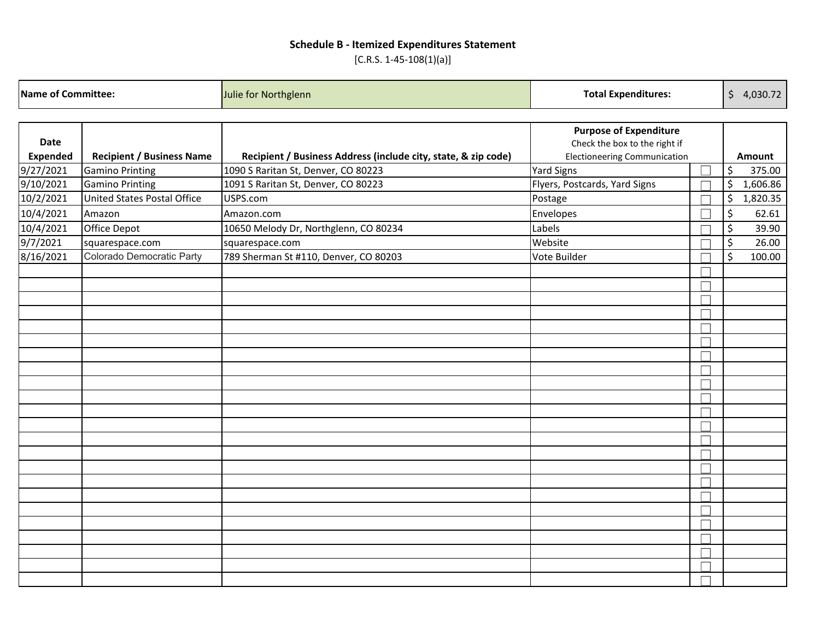# **Schedule B - Itemized Expenditures Statement**

 $[C.R.S. 1-45-108(1)(a)]$ 

|                 | <b>Name of Committee:</b><br><b>Total Expenditures:</b><br>Julie for Northglenn |                                                                |                                                                | \$4,030.72 |          |
|-----------------|---------------------------------------------------------------------------------|----------------------------------------------------------------|----------------------------------------------------------------|------------|----------|
| Date            |                                                                                 |                                                                | <b>Purpose of Expenditure</b><br>Check the box to the right if |            |          |
| <b>Expended</b> | <b>Recipient / Business Name</b>                                                | Recipient / Business Address (include city, state, & zip code) | <b>Electioneering Communication</b>                            | Amount     |          |
| 9/27/2021       | <b>Gamino Printing</b>                                                          | 1090 S Raritan St, Denver, CO 80223                            | <b>Yard Signs</b>                                              | \$         | 375.00   |
| 9/10/2021       | <b>Gamino Printing</b>                                                          | 1091 S Raritan St, Denver, CO 80223                            | Flyers, Postcards, Yard Signs                                  | \$         | 1,606.86 |
| 10/2/2021       | <b>United States Postal Office</b>                                              | USPS.com                                                       | Postage                                                        | \$         | 1,820.35 |
| 10/4/2021       | Amazon                                                                          | Amazon.com                                                     | Envelopes                                                      | \$         | 62.61    |
| 10/4/2021       | <b>Office Depot</b>                                                             | 10650 Melody Dr, Northglenn, CO 80234                          | Labels                                                         | $\zeta$    | 39.90    |
| 9/7/2021        | squarespace.com                                                                 | squarespace.com                                                | Website                                                        | $\zeta$    | 26.00    |
| 8/16/2021       | Colorado Democratic Party                                                       | 789 Sherman St #110, Denver, CO 80203                          | Vote Builder                                                   | $\zeta$    | 100.00   |
|                 |                                                                                 |                                                                |                                                                |            |          |
|                 |                                                                                 |                                                                |                                                                |            |          |
|                 |                                                                                 |                                                                |                                                                |            |          |
|                 |                                                                                 |                                                                |                                                                |            |          |
|                 |                                                                                 |                                                                |                                                                |            |          |
|                 |                                                                                 |                                                                |                                                                |            |          |
|                 |                                                                                 |                                                                |                                                                |            |          |
|                 |                                                                                 |                                                                |                                                                |            |          |
|                 |                                                                                 |                                                                |                                                                |            |          |
|                 |                                                                                 |                                                                |                                                                |            |          |
|                 |                                                                                 |                                                                |                                                                |            |          |
|                 |                                                                                 |                                                                |                                                                |            |          |
|                 |                                                                                 |                                                                |                                                                |            |          |
|                 |                                                                                 |                                                                |                                                                |            |          |
|                 |                                                                                 |                                                                |                                                                |            |          |
|                 |                                                                                 |                                                                |                                                                |            |          |
|                 |                                                                                 |                                                                |                                                                |            |          |
|                 |                                                                                 |                                                                |                                                                |            |          |
|                 |                                                                                 |                                                                |                                                                |            |          |
|                 |                                                                                 |                                                                |                                                                |            |          |
|                 |                                                                                 |                                                                |                                                                |            |          |
|                 |                                                                                 |                                                                |                                                                |            |          |
|                 |                                                                                 |                                                                |                                                                |            |          |